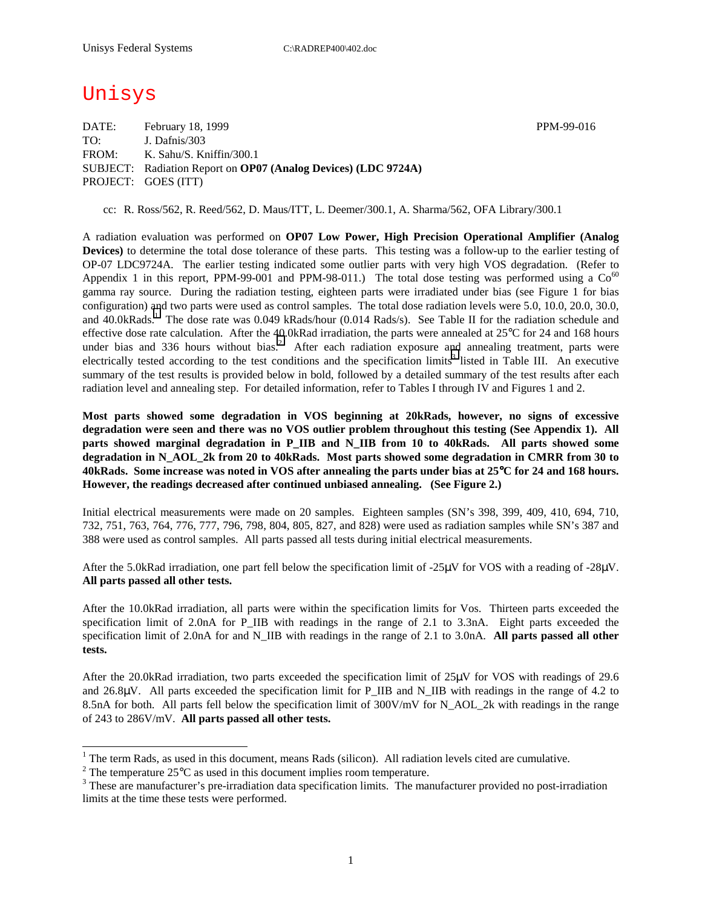# Unisys

 $\overline{a}$ 

DATE: February 18, 1999 PPM-99-016 TO: J. Dafnis/303 FROM: K. Sahu/S. Kniffin/300.1 SUBJECT: Radiation Report on **OP07 (Analog Devices) (LDC 9724A)** PROJECT: GOES (ITT)

cc: R. Ross/562, R. Reed/562, D. Maus/ITT, L. Deemer/300.1, A. Sharma/562, OFA Library/300.1

A radiation evaluation was performed on **OP07 Low Power, High Precision Operational Amplifier (Analog Devices)** to determine the total dose tolerance of these parts. This testing was a follow-up to the earlier testing of OP-07 LDC9724A. The earlier testing indicated some outlier parts with very high VOS degradation. (Refer to Appendix 1 in this report, PPM-99-001 and PPM-98-011.) The total dose testing was performed using a  $Co^{60}$ gamma ray source. During the radiation testing, eighteen parts were irradiated under bias (see Figure 1 for bias configuration) and two parts were used as control samples. The total dose radiation levels were 5.0, 10.0, 20.0, 30.0, and 40.0kRads.<sup>1</sup> The dose rate was 0.049 kRads/hour (0.014 Rads/s). See Table II for the radiation schedule and effective dose rate calculation. After the 40.0kRad irradiation, the parts were annealed at 25°C for 24 and 168 hours under bias and 336 hours without bias.<sup>2</sup> After each radiation exposure and annealing treatment, parts were electrically tested according to the test conditions and the specification limits<sup>3</sup> listed in Table III. An executive summary of the test results is provided below in bold, followed by a detailed summary of the test results after each radiation level and annealing step. For detailed information, refer to Tables I through IV and Figures 1 and 2.

**Most parts showed some degradation in VOS beginning at 20kRads, however, no signs of excessive degradation were seen and there was no VOS outlier problem throughout this testing (See Appendix 1). All parts showed marginal degradation in P\_IIB and N\_IIB from 10 to 40kRads. All parts showed some degradation in N\_AOL\_2k from 20 to 40kRads. Most parts showed some degradation in CMRR from 30 to 40kRads. Some increase was noted in VOS after annealing the parts under bias at 25**°**C for 24 and 168 hours. However, the readings decreased after continued unbiased annealing. (See Figure 2.)** 

Initial electrical measurements were made on 20 samples. Eighteen samples (SN's 398, 399, 409, 410, 694, 710, 732, 751, 763, 764, 776, 777, 796, 798, 804, 805, 827, and 828) were used as radiation samples while SN's 387 and 388 were used as control samples. All parts passed all tests during initial electrical measurements.

After the 5.0kRad irradiation, one part fell below the specification limit of -25µV for VOS with a reading of -28µV. **All parts passed all other tests.** 

After the 10.0kRad irradiation, all parts were within the specification limits for Vos. Thirteen parts exceeded the specification limit of 2.0nA for P\_IIB with readings in the range of 2.1 to 3.3nA. Eight parts exceeded the specification limit of 2.0nA for and N\_IIB with readings in the range of 2.1 to 3.0nA. **All parts passed all other tests.** 

After the 20.0kRad irradiation, two parts exceeded the specification limit of 25µV for VOS with readings of 29.6 and 26.8µV. All parts exceeded the specification limit for P\_IIB and N\_IIB with readings in the range of 4.2 to 8.5nA for both. All parts fell below the specification limit of 300V/mV for N\_AOL\_2k with readings in the range of 243 to 286V/mV. **All parts passed all other tests.** 

<sup>&</sup>lt;sup>1</sup> The term Rads, as used in this document, means Rads (silicon). All radiation levels cited are cumulative.

<sup>&</sup>lt;sup>2</sup> The temperature 25 $^{\circ}$ C as used in this document implies room temperature.  $^3$  These are manufacturer's are irrediction date apositionism limits. The manufacturer's

<sup>&</sup>lt;sup>3</sup> These are manufacturer's pre-irradiation data specification limits. The manufacturer provided no post-irradiation limits at the time these tests were performed.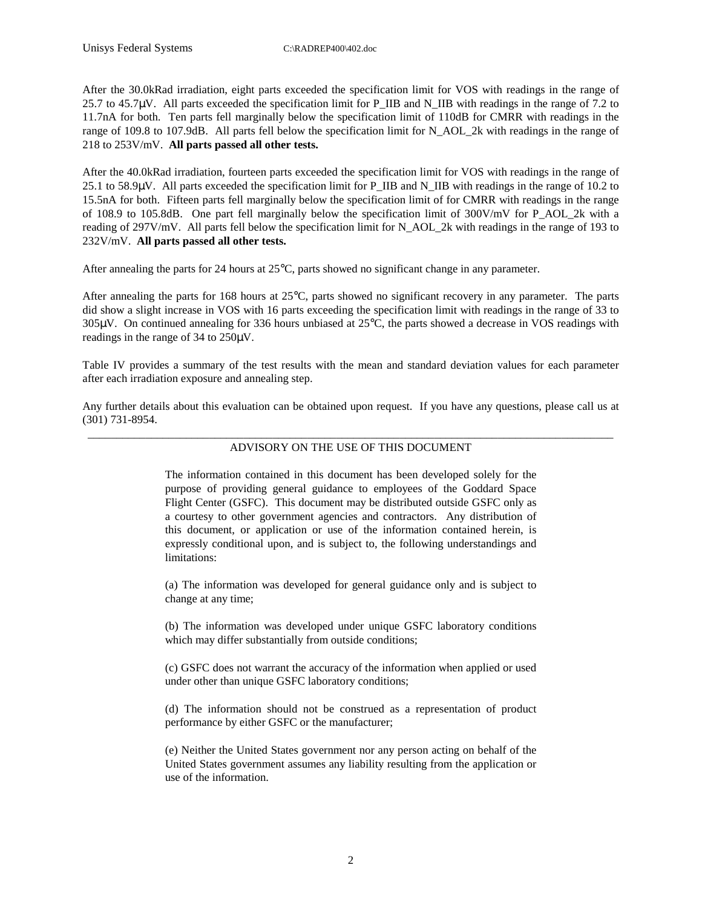Unisys Federal Systems C:\RADREP400\402.doc

After the 30.0kRad irradiation, eight parts exceeded the specification limit for VOS with readings in the range of 25.7 to 45.7 $\mu$ V. All parts exceeded the specification limit for P\_IIB and N\_IIB with readings in the range of 7.2 to 11.7nA for both. Ten parts fell marginally below the specification limit of 110dB for CMRR with readings in the range of 109.8 to 107.9dB. All parts fell below the specification limit for N\_AOL\_2k with readings in the range of 218 to 253V/mV. **All parts passed all other tests.** 

After the 40.0kRad irradiation, fourteen parts exceeded the specification limit for VOS with readings in the range of 25.1 to 58.9µV. All parts exceeded the specification limit for P\_IIB and N\_IIB with readings in the range of 10.2 to 15.5nA for both. Fifteen parts fell marginally below the specification limit of for CMRR with readings in the range of 108.9 to 105.8dB. One part fell marginally below the specification limit of 300V/mV for P\_AOL\_2k with a reading of 297V/mV. All parts fell below the specification limit for N\_AOL\_2k with readings in the range of 193 to 232V/mV. **All parts passed all other tests.** 

After annealing the parts for 24 hours at 25°C, parts showed no significant change in any parameter.

After annealing the parts for 168 hours at 25°C, parts showed no significant recovery in any parameter. The parts did show a slight increase in VOS with 16 parts exceeding the specification limit with readings in the range of 33 to 305µV. On continued annealing for 336 hours unbiased at 25°C, the parts showed a decrease in VOS readings with readings in the range of 34 to 250µV.

Table IV provides a summary of the test results with the mean and standard deviation values for each parameter after each irradiation exposure and annealing step.

Any further details about this evaluation can be obtained upon request. If you have any questions, please call us at (301) 731-8954.

#### \_\_\_\_\_\_\_\_\_\_\_\_\_\_\_\_\_\_\_\_\_\_\_\_\_\_\_\_\_\_\_\_\_\_\_\_\_\_\_\_\_\_\_\_\_\_\_\_\_\_\_\_\_\_\_\_\_\_\_\_\_\_\_\_\_\_\_\_\_\_\_\_\_\_\_\_\_\_\_\_\_\_\_\_\_\_\_\_\_\_\_ ADVISORY ON THE USE OF THIS DOCUMENT

The information contained in this document has been developed solely for the purpose of providing general guidance to employees of the Goddard Space Flight Center (GSFC). This document may be distributed outside GSFC only as a courtesy to other government agencies and contractors. Any distribution of this document, or application or use of the information contained herein, is expressly conditional upon, and is subject to, the following understandings and limitations:

(a) The information was developed for general guidance only and is subject to change at any time;

(b) The information was developed under unique GSFC laboratory conditions which may differ substantially from outside conditions;

(c) GSFC does not warrant the accuracy of the information when applied or used under other than unique GSFC laboratory conditions;

(d) The information should not be construed as a representation of product performance by either GSFC or the manufacturer;

(e) Neither the United States government nor any person acting on behalf of the United States government assumes any liability resulting from the application or use of the information.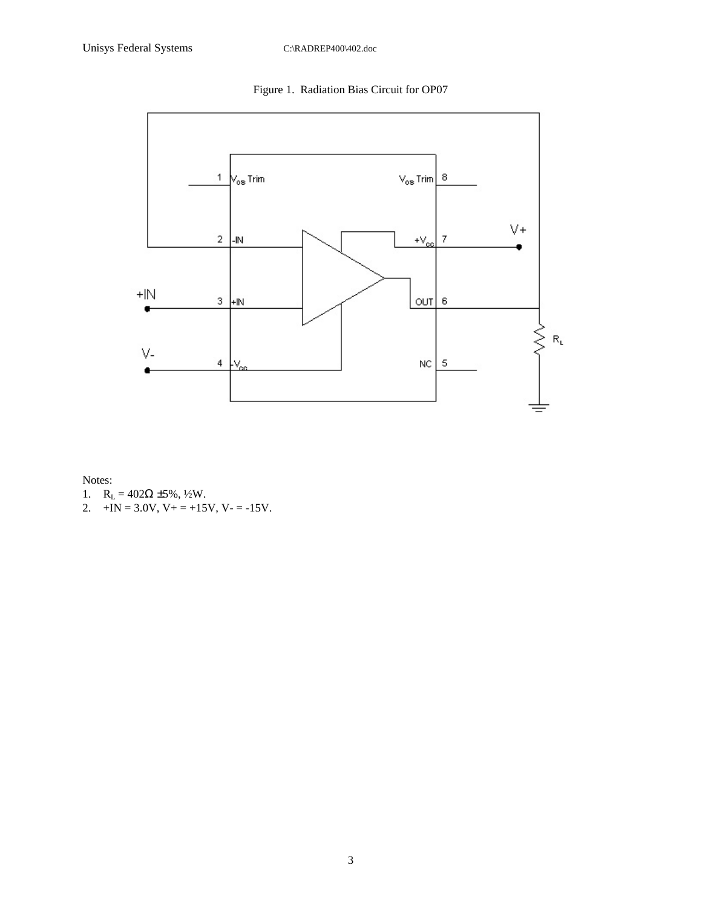Figure 1. Radiation Bias Circuit for OP07



Notes:

- 1.  $R_L = 402\Omega \pm 5\%, \frac{1}{2}W$ .
- 2.  $+IN = 3.0V$ ,  $V_+ = +15V$ ,  $V_- = -15V$ .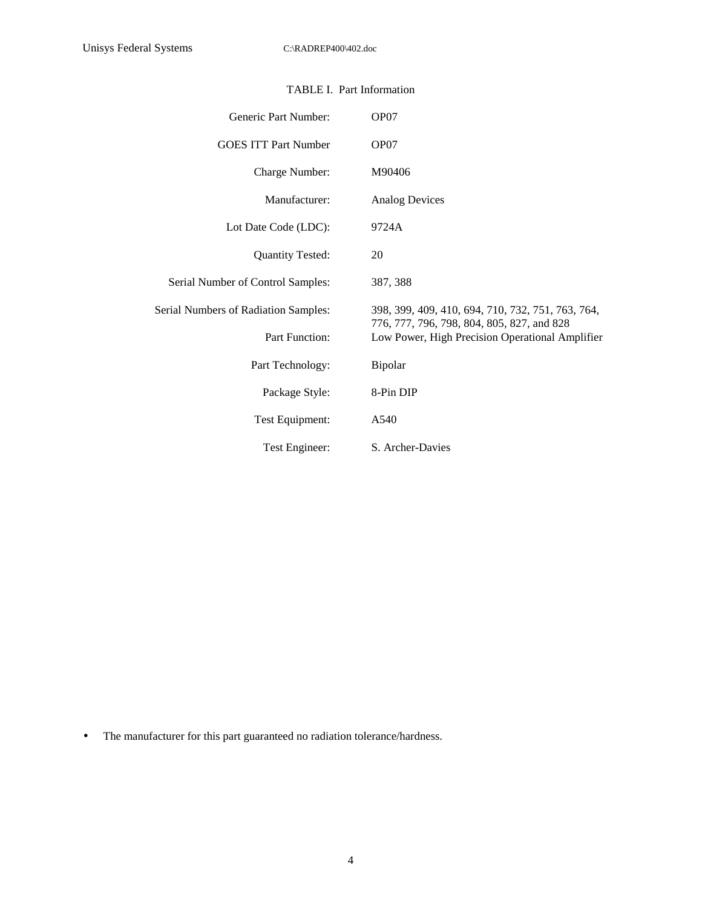| Generic Part Number:                 | OP07                                                                                          |
|--------------------------------------|-----------------------------------------------------------------------------------------------|
| <b>GOES ITT Part Number</b>          | OP07                                                                                          |
| Charge Number:                       | M90406                                                                                        |
| Manufacturer:                        | <b>Analog Devices</b>                                                                         |
| Lot Date Code (LDC):                 | 9724A                                                                                         |
| <b>Quantity Tested:</b>              | 20                                                                                            |
| Serial Number of Control Samples:    | 387, 388                                                                                      |
| Serial Numbers of Radiation Samples: | 398, 399, 409, 410, 694, 710, 732, 751, 763, 764,                                             |
| Part Function:                       | 776, 777, 796, 798, 804, 805, 827, and 828<br>Low Power, High Precision Operational Amplifier |
| Part Technology:                     | Bipolar                                                                                       |
| Package Style:                       | 8-Pin DIP                                                                                     |
| Test Equipment:                      | A540                                                                                          |
| Test Engineer:                       | S. Archer-Davies                                                                              |

### TABLE I. Part Information

• The manufacturer for this part guaranteed no radiation tolerance/hardness.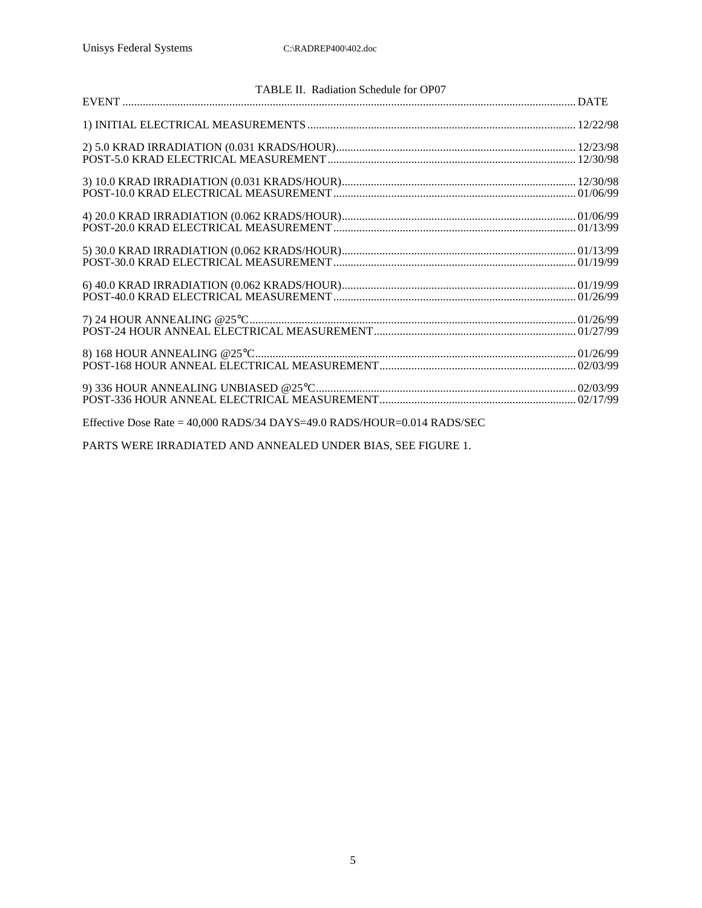| TABLE II. Radiation Schedule for OP07                                                                                                 |  |
|---------------------------------------------------------------------------------------------------------------------------------------|--|
|                                                                                                                                       |  |
|                                                                                                                                       |  |
|                                                                                                                                       |  |
|                                                                                                                                       |  |
|                                                                                                                                       |  |
|                                                                                                                                       |  |
|                                                                                                                                       |  |
|                                                                                                                                       |  |
|                                                                                                                                       |  |
|                                                                                                                                       |  |
|                                                                                                                                       |  |
| Effective Dece $P_{\text{obs}} = 40.000 B \Lambda D^2 / 24 D \Lambda V^2 - 40.0 B \Lambda D^2 / 100 I^2 - 0.014 D \Lambda D^2 / 25 C$ |  |

Effective Dose Rate = 40,000 RADS/34 DAYS=49.0 RADS/HOUR=0.014 RADS/SEC

PARTS WERE IRRADIATED AND ANNEALED UNDER BIAS, SEE FIGURE 1.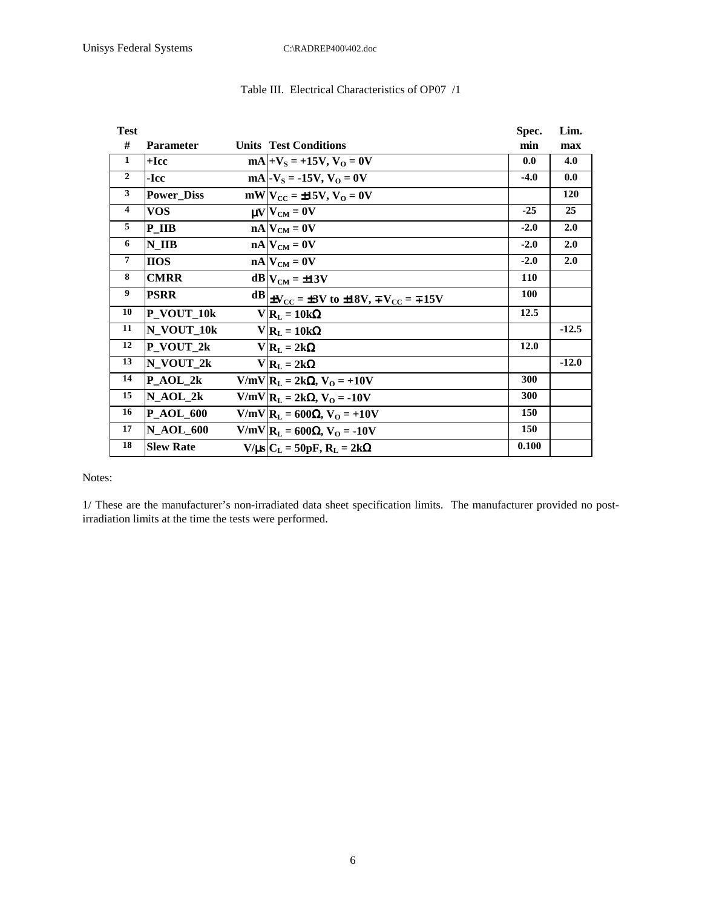| <b>Test</b>             |                   |                                                                           | Spec.  | Lim.    |
|-------------------------|-------------------|---------------------------------------------------------------------------|--------|---------|
| #                       | <b>Parameter</b>  | <b>Units Test Conditions</b>                                              | min    | max     |
| $\mathbf{1}$            | $+$ Icc           | $mA +V_s = +15V, V_0 = 0V$                                                | 0.0    | 4.0     |
| $\overline{2}$          | -Icc              | $mA$ - $V_s$ = -15V, $V_0$ = 0V                                           | $-4.0$ | 0.0     |
| 3                       | <b>Power_Diss</b> | $mW V_{CC} = \pm 15V, V_0 = 0V$                                           |        | 120     |
| $\overline{\mathbf{4}}$ | <b>VOS</b>        | $\mu V V_{CM} = 0V$                                                       | $-25$  | 25      |
| 5                       | P IIB             | $nA$ $V_{CM} = 0V$                                                        | $-2.0$ | 2.0     |
| 6                       | N IIB             | $nA$ $V_{CM} = 0V$                                                        | $-2.0$ | 2.0     |
| 7                       | <b>HOS</b>        | $nA$ $V_{CM} = 0V$                                                        | $-2.0$ | 2.0     |
| 8                       | <b>CMRR</b>       | $dB V_{CM} = \pm 13V$                                                     | 110    |         |
| 9                       | <b>PSRR</b>       | $dB _{\pm V_{\rm CC}} = \pm 3V$ to $\pm 18V$ , $\mp V_{\rm CC} = \mp 15V$ | 100    |         |
| 10                      | P_VOUT_10k        | $V R_L = 10k\Omega$                                                       | 12.5   |         |
| 11                      | N_VOUT_10k        | $V R_L = 10k\Omega$                                                       |        | $-12.5$ |
| 12                      | $P_VOUT_2k$       | $V R_L = 2k\Omega$                                                        | 12.0   |         |
| 13                      | N_VOUT_2k         | $V R_L = 2k\Omega$                                                        |        | $-12.0$ |
| 14                      | $P_AOL_2k$        | $V/mV$   $R_L = 2k\Omega$ , $V_O = +10V$                                  | 300    |         |
| 15                      | $N_AOL_2k$        | $V/mV$   $R_L = 2k\Omega$ , $V_O = -10V$                                  | 300    |         |
| 16                      | <b>P_AOL_600</b>  | V/mV R <sub>L</sub> = 600Ω, V <sub>O</sub> = +10V                         | 150    |         |
| 17                      | <b>N AOL 600</b>  | V/mV  $R_L$ = 600Ω, V <sub>O</sub> = -10V                                 | 150    |         |
| 18                      | <b>Slew Rate</b>  | $V/\mu s$ $C_L = 50pF$ , $R_L = 2k\Omega$                                 | 0.100  |         |

### Table III. Electrical Characteristics of OP07 /1

Notes:

1/ These are the manufacturer's non-irradiated data sheet specification limits. The manufacturer provided no postirradiation limits at the time the tests were performed.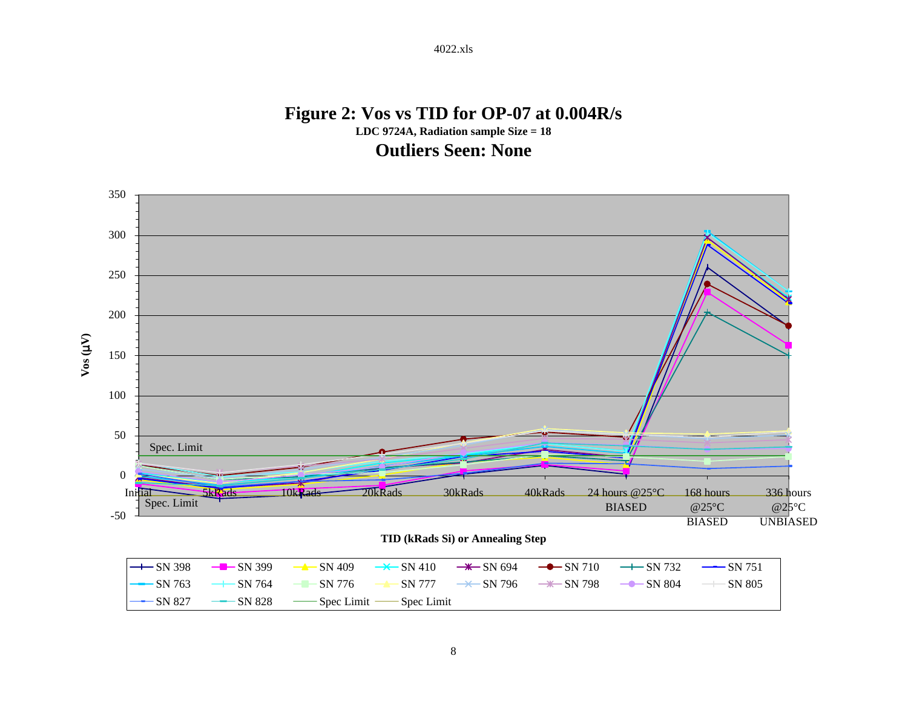## **Figure 2: Vos vs TID for OP-07 at 0.004R/s LDC 9724A, Radiation sample Size = 18 Outliers Seen: None**

4022.xls

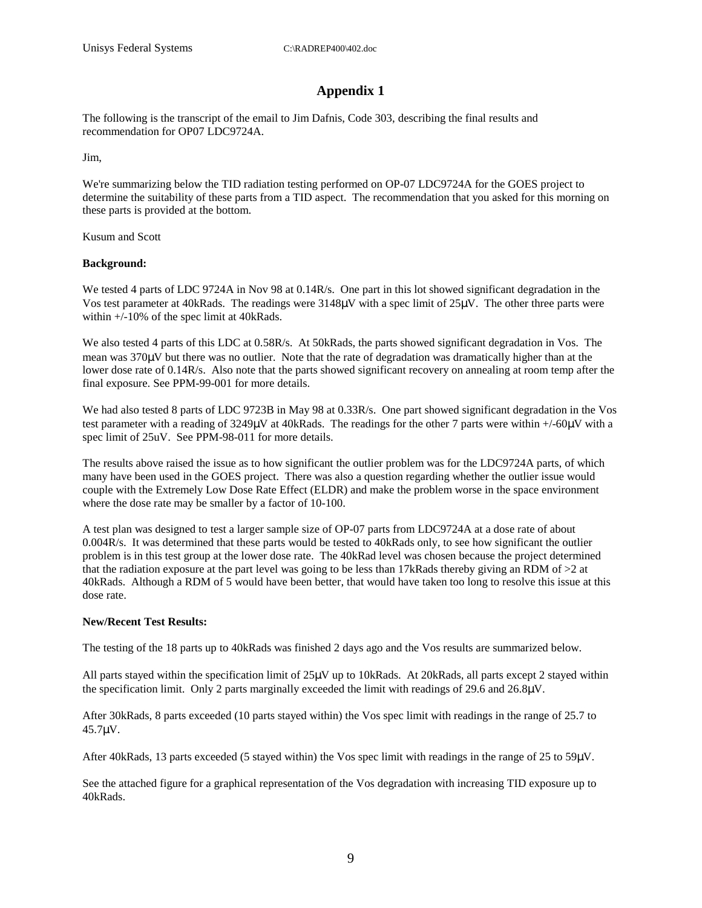### **Appendix 1**

The following is the transcript of the email to Jim Dafnis, Code 303, describing the final results and recommendation for OP07 LDC9724A.

Jim,

We're summarizing below the TID radiation testing performed on OP-07 LDC9724A for the GOES project to determine the suitability of these parts from a TID aspect. The recommendation that you asked for this morning on these parts is provided at the bottom.

Kusum and Scott

#### **Background:**

We tested 4 parts of LDC 9724A in Nov 98 at 0.14R/s. One part in this lot showed significant degradation in the Vos test parameter at 40kRads. The readings were 3148µV with a spec limit of 25µV. The other three parts were within +/-10% of the spec limit at 40kRads.

We also tested 4 parts of this LDC at 0.58R/s. At 50kRads, the parts showed significant degradation in Vos. The mean was 370µV but there was no outlier. Note that the rate of degradation was dramatically higher than at the lower dose rate of 0.14R/s. Also note that the parts showed significant recovery on annealing at room temp after the final exposure. See PPM-99-001 for more details.

We had also tested 8 parts of LDC 9723B in May 98 at 0.33R/s. One part showed significant degradation in the Vos test parameter with a reading of 3249µV at 40kRads. The readings for the other 7 parts were within +/-60µV with a spec limit of 25uV. See PPM-98-011 for more details.

The results above raised the issue as to how significant the outlier problem was for the LDC9724A parts, of which many have been used in the GOES project. There was also a question regarding whether the outlier issue would couple with the Extremely Low Dose Rate Effect (ELDR) and make the problem worse in the space environment where the dose rate may be smaller by a factor of 10-100.

A test plan was designed to test a larger sample size of OP-07 parts from LDC9724A at a dose rate of about 0.004R/s. It was determined that these parts would be tested to 40kRads only, to see how significant the outlier problem is in this test group at the lower dose rate. The 40kRad level was chosen because the project determined that the radiation exposure at the part level was going to be less than 17kRads thereby giving an RDM of  $>2$  at 40kRads. Although a RDM of 5 would have been better, that would have taken too long to resolve this issue at this dose rate.

### **New/Recent Test Results:**

The testing of the 18 parts up to 40kRads was finished 2 days ago and the Vos results are summarized below.

All parts stayed within the specification limit of 25µV up to 10kRads. At 20kRads, all parts except 2 stayed within the specification limit. Only 2 parts marginally exceeded the limit with readings of 29.6 and 26.8µV.

After 30kRads, 8 parts exceeded (10 parts stayed within) the Vos spec limit with readings in the range of 25.7 to 45.7µV.

After 40kRads, 13 parts exceeded (5 stayed within) the Vos spec limit with readings in the range of 25 to 59µV.

See the attached figure for a graphical representation of the Vos degradation with increasing TID exposure up to 40kRads.